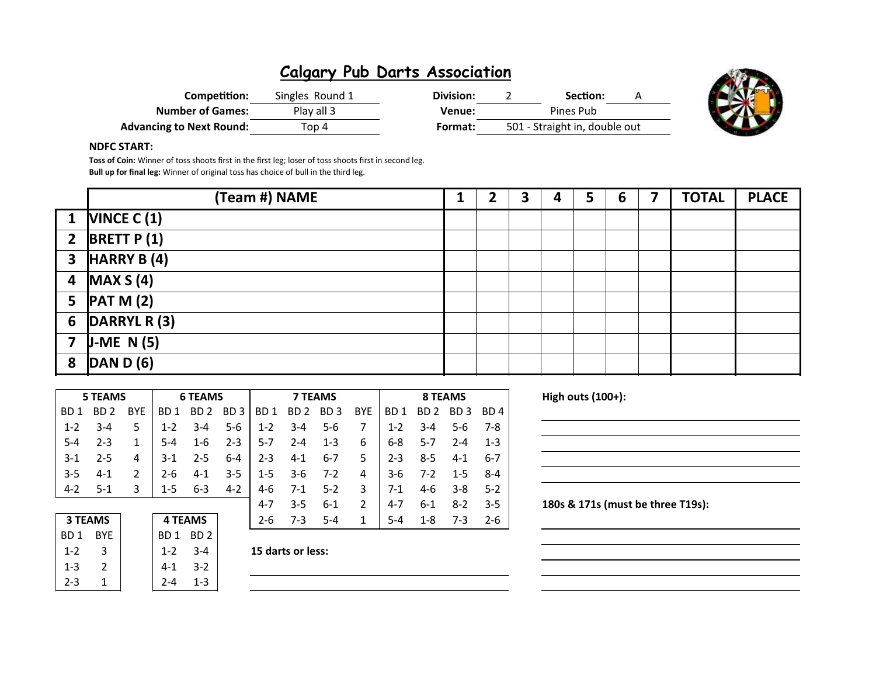| Competition:                    | Singles Round 1 | Division: | Section:                      |  |
|---------------------------------|-----------------|-----------|-------------------------------|--|
| <b>Number of Games:</b>         | Play all 3      | Venue:    | Pines Pub                     |  |
| <b>Advancing to Next Round:</b> | Top 4           | Format:   | 501 - Straight in, double out |  |



#### NDFC START:

Toss of Coin: Winner of toss shoots first in the first leg; loser of toss shoots first in second leg. Bull up for final leg: Winner of original toss has choice of bull in the third leg.

|                | (Team #) NAME                                   |  | 3 | 4 | 5 | 6 | <b>TOTAL</b> | <b>PLACE</b> |
|----------------|-------------------------------------------------|--|---|---|---|---|--------------|--------------|
|                | 1 $NINCE C (1)$                                 |  |   |   |   |   |              |              |
| $\overline{2}$ | <b>BRETT P(1)</b>                               |  |   |   |   |   |              |              |
|                | $3$ HARRY B (4)                                 |  |   |   |   |   |              |              |
|                | $\sqrt{4}$ MAX S (4)                            |  |   |   |   |   |              |              |
|                | 5 $\left  \text{PATH }M\left( 2\right) \right $ |  |   |   |   |   |              |              |
|                | 6 $\overline{DARRYL}$ R (3)                     |  |   |   |   |   |              |              |
|                | 7 $J-ME N(5)$                                   |  |   |   |   |   |              |              |
| 8              | $\overline{DAND(6)}$                            |  |   |   |   |   |              |              |

| <b>5 TEAMS</b> |         |               |                | <b>6 TEAMS</b>  |         |         | <b>7 TEAMS</b> |         |               |                             | 8 TEAMS |         |         |  |  |
|----------------|---------|---------------|----------------|-----------------|---------|---------|----------------|---------|---------------|-----------------------------|---------|---------|---------|--|--|
| BD 1           | BD 2    | <b>BYF</b>    | BD 1           | BD <sub>2</sub> | BD 3    | BD 1    | BD 2 BD 3      |         | <b>BYE</b>    | BD 1                        | BD 2    | BD 3    | BD 4    |  |  |
| $1 - 2$        | $3-4$   | 5             | $1 - 2$        | $3-4$           | $5-6$   | $1 - 2$ | $3 - 4$        | 5-6     | 7             | $1 - 2$                     | $3 - 4$ | $5-6$   | 7-8     |  |  |
| $5 - 4$        | $2 - 3$ |               | $5 - 4$        | $1 - 6$         | $2 - 3$ | $5-7$   | $2 - 4$        | $1 - 3$ | 6             | 6-8                         | $5-7$   | $2 - 4$ | $1 - 3$ |  |  |
| $3-1$          | $2 - 5$ | 4             | $3-1$          | $2 - 5$         | $6 - 4$ | $2 - 3$ | $4 - 1$        | 6-7     | 5.            | $2 - 3$                     | $8 - 5$ | $4 - 1$ | $6-7$   |  |  |
| $3 - 5$        | $4-1$   | $\mathcal{P}$ | $2 - 6$        | $4 - 1$         | $3 - 5$ | $1-5$   | $3-6$          | $7-2$   | 4             | $3-6$                       | $7-2$   | $1 - 5$ | $8 - 4$ |  |  |
| $4-2$          | $5-1$   | 3             | $1-5$          | $6 - 3$         | $4 - 2$ | 4-6     | $7-1$          | $5-2$   | 3             | $7-1$<br>4-6<br>$3 - 8$     |         |         | $5-2$   |  |  |
|                |         |               |                |                 |         | $4-7$   | $3 - 5$        | $6 - 1$ | $\mathcal{P}$ | $4 - 7$                     | $6-1$   | $8-2$   | $3-5$   |  |  |
| <b>3 TEAMS</b> |         |               | <b>4 TEAMS</b> |                 |         | $2 - 6$ | $7-3$          | $5 - 4$ | 1             | $5 - 4$<br>$1 - 8$<br>$7-3$ |         | $2 - 6$ |         |  |  |

High outs  $(100+)$ :

|         | <b>3 TEAMS</b> |  |  |  |  |  |  |  |
|---------|----------------|--|--|--|--|--|--|--|
| BD 1    | BYF.           |  |  |  |  |  |  |  |
| $1 - 2$ | 3              |  |  |  |  |  |  |  |
| $1 - 3$ | 2              |  |  |  |  |  |  |  |
| 2-3     |                |  |  |  |  |  |  |  |

BD 1 BD 2

1-3 2 4-1 3-2  $2-4$  1-3

 $1-2$  3-4 15 darts or less:

180s & 171s (must be three T19s):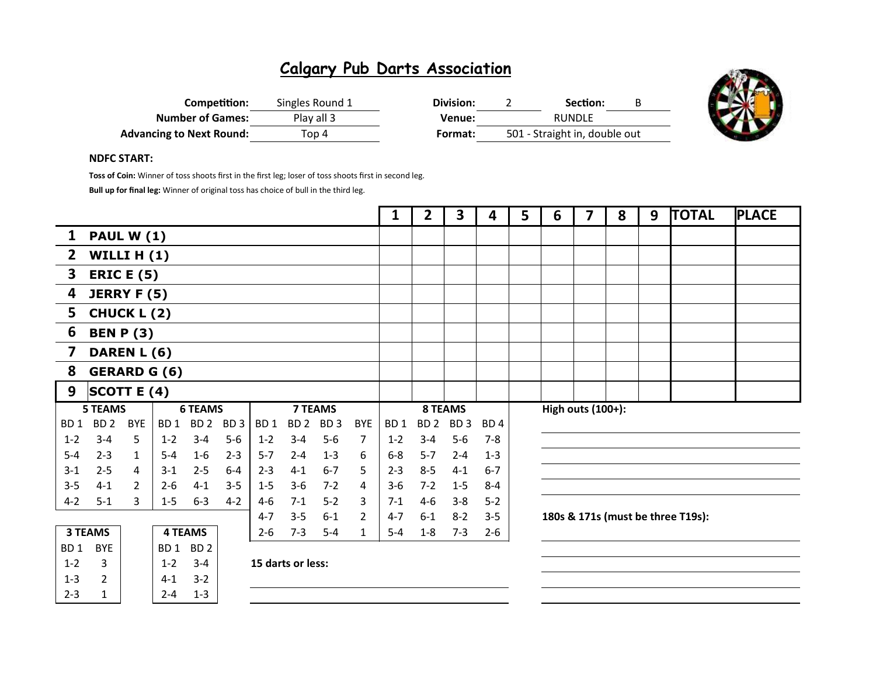| Competition:                    | Singles Round 1 | Division: | Section:                      |  |
|---------------------------------|-----------------|-----------|-------------------------------|--|
| <b>Number of Games:</b>         | Play all 3      | Venue:    | <b>RUNDLE</b>                 |  |
| <b>Advancing to Next Round:</b> | Top 4           | Format:   | 501 - Straight in, double out |  |



### NDFC START:

Toss of Coin: Winner of toss shoots first in the first leg; loser of toss shoots first in second leg.

Bull up for final leg: Winner of original toss has choice of bull in the third leg.

|                         |                                                    |                |                    |                    |                 |                   |                 |                 |                | $\mathbf{1}$    | $\overline{2}$    | 3               | 4               | 5 | 6 | 7 | 8 | 9 | <b>TOTAL</b>                      | <b>PLACE</b> |
|-------------------------|----------------------------------------------------|----------------|--------------------|--------------------|-----------------|-------------------|-----------------|-----------------|----------------|-----------------|-------------------|-----------------|-----------------|---|---|---|---|---|-----------------------------------|--------------|
| $\mathbf{1}$            | <b>PAUL W (1)</b>                                  |                |                    |                    |                 |                   |                 |                 |                |                 |                   |                 |                 |   |   |   |   |   |                                   |              |
| $\mathbf{2}$            | WILLI $H(1)$                                       |                |                    |                    |                 |                   |                 |                 |                |                 |                   |                 |                 |   |   |   |   |   |                                   |              |
| 3                       | <b>ERIC E (5)</b>                                  |                |                    |                    |                 |                   |                 |                 |                |                 |                   |                 |                 |   |   |   |   |   |                                   |              |
| $\overline{\mathbf{4}}$ | <b>JERRY F (5)</b>                                 |                |                    |                    |                 |                   |                 |                 |                |                 |                   |                 |                 |   |   |   |   |   |                                   |              |
| 5                       | <b>CHUCK L (2)</b>                                 |                |                    |                    |                 |                   |                 |                 |                |                 |                   |                 |                 |   |   |   |   |   |                                   |              |
| 6                       | <b>BEN P (3)</b>                                   |                |                    |                    |                 |                   |                 |                 |                |                 |                   |                 |                 |   |   |   |   |   |                                   |              |
| 7                       | DAREN L (6)                                        |                |                    |                    |                 |                   |                 |                 |                |                 |                   |                 |                 |   |   |   |   |   |                                   |              |
| 8                       | <b>GERARD G (6)</b>                                |                |                    |                    |                 |                   |                 |                 |                |                 |                   |                 |                 |   |   |   |   |   |                                   |              |
| 9                       | SCOTT E $(4)$                                      |                |                    |                    |                 |                   |                 |                 |                |                 |                   |                 |                 |   |   |   |   |   |                                   |              |
|                         | <b>7 TEAMS</b><br><b>5 TEAMS</b><br><b>6 TEAMS</b> |                |                    |                    |                 |                   |                 | 8 TEAMS         |                |                 | High outs (100+): |                 |                 |   |   |   |   |   |                                   |              |
| BD <sub>1</sub>         | BD <sub>2</sub>                                    | <b>BYE</b>     | BD <sub>1</sub>    | BD <sub>2</sub>    | BD <sub>3</sub> | BD <sub>1</sub>   | BD <sub>2</sub> | BD <sub>3</sub> | <b>BYE</b>     | BD <sub>1</sub> | BD <sub>2</sub>   | BD <sub>3</sub> | BD <sub>4</sub> |   |   |   |   |   |                                   |              |
| $1 - 2$                 | $3 - 4$                                            | 5.             | $1 - 2$            | $3 - 4$            | $5-6$           | $1 - 2$           | $3 - 4$         | $5-6$           | 7              | $1 - 2$         | $3 - 4$           | $5-6$           | $7-8$           |   |   |   |   |   |                                   |              |
| $5-4$                   | $2 - 3$                                            | $\mathbf{1}$   | $5 - 4$            | $1-6$              | $2 - 3$         | $5 - 7$           | $2 - 4$         | $1 - 3$         | 6              | $6-8$           | $5 - 7$           | $2 - 4$         | $1 - 3$         |   |   |   |   |   |                                   |              |
| $3-1$                   | $2 - 5$                                            | 4              | $3-1$              | $2 - 5$            | $6-4$           | $2 - 3$           | $4 - 1$         | $6 - 7$         | 5              | $2 - 3$         | $8 - 5$           | $4 - 1$         | $6 - 7$         |   |   |   |   |   |                                   |              |
| $3 - 5$                 | $4 - 1$                                            | $\overline{2}$ | $2 - 6$            | $4 - 1$            | $3 - 5$         | $1-5$             | $3-6$           | $7 - 2$         | 4              | $3-6$           | $7 - 2$           | $1-5$           | $8 - 4$         |   |   |   |   |   |                                   |              |
| $4 - 2$                 | $5 - 1$                                            | 3              | $1 - 5$            | $6 - 3$            | $4-2$           | $4-6$             | $7-1$           | $5-2$           | 3              | $7-1$           | $4 - 6$           | $3-8$           | $5 - 2$         |   |   |   |   |   |                                   |              |
|                         |                                                    |                |                    |                    |                 | $4 - 7$           | $3 - 5$         | $6-1$           | $\overline{2}$ | $4 - 7$         | $6 - 1$           | $8 - 2$         | $3 - 5$         |   |   |   |   |   | 180s & 171s (must be three T19s): |              |
|                         | <b>3 TEAMS</b>                                     |                |                    | <b>4 TEAMS</b>     |                 | $2 - 6$           | $7 - 3$         | $5 - 4$         | $\mathbf{1}$   | $5-4$           | $1-8$             | $7 - 3$         | $2 - 6$         |   |   |   |   |   |                                   |              |
| BD <sub>1</sub>         | <b>BYE</b>                                         |                | BD 1               | BD <sub>2</sub>    |                 |                   |                 |                 |                |                 |                   |                 |                 |   |   |   |   |   |                                   |              |
| $1 - 2$                 | 3                                                  |                | $1 - 2$            | $3 - 4$            |                 | 15 darts or less: |                 |                 |                |                 |                   |                 |                 |   |   |   |   |   |                                   |              |
| $1 - 3$<br>$2 - 3$      | $\overline{2}$<br>$\mathbf{1}$                     |                | $4 - 1$<br>$2 - 4$ | $3 - 2$<br>$1 - 3$ |                 |                   |                 |                 |                |                 |                   |                 |                 |   |   |   |   |   |                                   |              |
|                         |                                                    |                |                    |                    |                 |                   |                 |                 |                |                 |                   |                 |                 |   |   |   |   |   |                                   |              |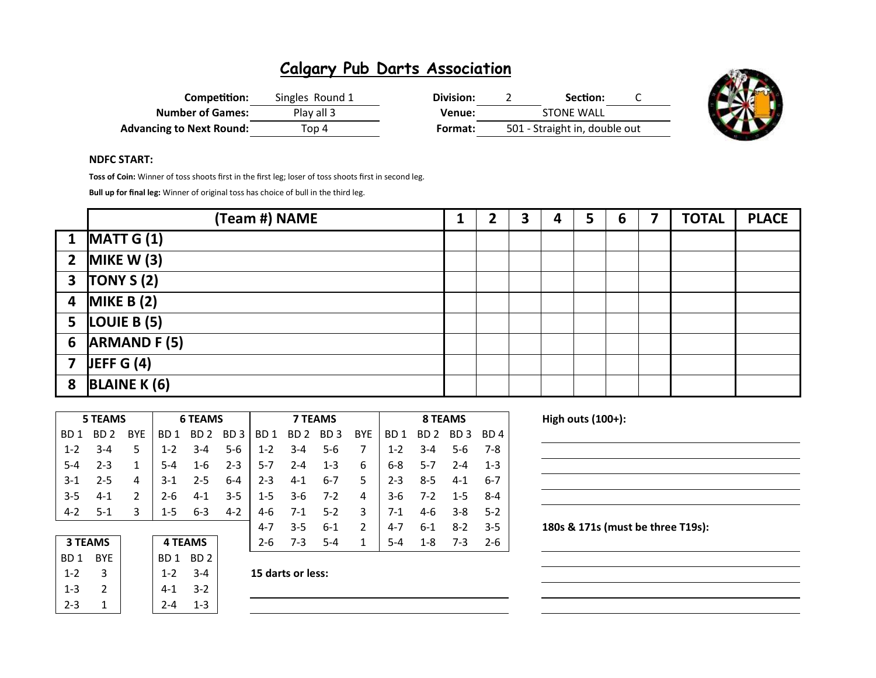| Competition:                    | Singles Round 1 | Division: | Section:                      |  |
|---------------------------------|-----------------|-----------|-------------------------------|--|
| <b>Number of Games:</b>         | Play all 3      | Venue:    | <b>STONE WALL</b>             |  |
| <b>Advancing to Next Round:</b> | Top 4           | Format:   | 501 - Straight in, double out |  |



#### NDFC START:

Toss of Coin: Winner of toss shoots first in the first leg; loser of toss shoots first in second leg.

Bull up for final leg: Winner of original toss has choice of bull in the third leg.

|                | (Team #) NAME                    |  | 3 | 4 | 5 | 6 | 7 | <b>TOTAL</b> | <b>PLACE</b> |
|----------------|----------------------------------|--|---|---|---|---|---|--------------|--------------|
|                | $\boxed{1}$ MATT $\boxed{G}$ (1) |  |   |   |   |   |   |              |              |
|                | 2 MIKE W $(3)$                   |  |   |   |   |   |   |              |              |
|                | $3$ TONY S (2)                   |  |   |   |   |   |   |              |              |
|                | 4 MIKE B $(2)$                   |  |   |   |   |   |   |              |              |
|                | 5 $LOUIE B (5)$                  |  |   |   |   |   |   |              |              |
| $6\phantom{1}$ | <b>ARMAND F (5)</b>              |  |   |   |   |   |   |              |              |
|                | 7 JEFF G $(4)$                   |  |   |   |   |   |   |              |              |
| 8              | <b>BLAINE K (6)</b>              |  |   |   |   |   |   |              |              |

|                 | 5 TEAMS |               | <b>6 TEAMS</b> |                 |                 |                 | <b>7 TEAMS</b> |                 |               | 8 TEAMS            |                  |         |         |
|-----------------|---------|---------------|----------------|-----------------|-----------------|-----------------|----------------|-----------------|---------------|--------------------|------------------|---------|---------|
| BD <sub>1</sub> | BD 2    | <b>BYE</b>    | BD 1           | BD <sub>2</sub> | BD <sub>3</sub> | BD <sub>1</sub> | BD 2           | BD <sub>3</sub> | <b>BYE</b>    | BD <sub>1</sub>    | BD 2             | BD 3    | BD 4    |
| $1 - 2$         | $3 - 4$ | 5             | $1 - 2$        | $3 - 4$         | $5 - 6$         | $1 - 2$         | $3 - 4$        | $5 - 6$         |               | $1 - 2$            | $3 - 4$          | $5-6$   | 7-8     |
| $5 - 4$         | $2 - 3$ | 1             | $5-4$          | $1-6$           | $2 - 3$         | $5-7$           | $2 - 4$        | $1 - 3$         | 6             | $6 - 8$            | $5-7$            | $2 - 4$ | $1 - 3$ |
| $3-1$           | $2 - 5$ | 4             | $3-1$          | $2 - 5$         | $6-4$           | $2 - 3$         | $4 - 1$        | $6 - 7$         | 5             | $2 - 3$<br>$8 - 5$ |                  | $4-1$   | $6-7$   |
| $3-5$           | $4-1$   | $\mathcal{P}$ | $2 - 6$        | $4 - 1$         | $3 - 5$         | $1-5$           | $3-6$          | $7-2$           | 4             | $3-6$              | $7-2$<br>$1 - 5$ |         | $8 - 4$ |
| $4-2$           | $5-1$   | 3             | $1 - 5$        | $6 - 3$         | $4 - 2$         | 4-6             | $7-1$          | $5 - 2$         | 3             | $7-1$              | 4-6<br>$3 - 8$   |         | $5-2$   |
|                 |         |               |                |                 |                 | $4 - 7$         | $3 - 5$        | $6 - 1$         | $\mathcal{P}$ | $4 - 7$            | $6 - 1$          | $8-2$   | $3 - 5$ |
| <b>3 TEAMS</b>  |         |               | <b>4 TEAMS</b> |                 |                 | $2 - 6$         | $7-3$          | $5 - 4$         | 1             | $5 - 4$            | 1-8              | $7-3$   | $2 - 6$ |

| 3 TEAMS |     |  |  |  |  |  |  |  |  |
|---------|-----|--|--|--|--|--|--|--|--|
| BD 1    | BYE |  |  |  |  |  |  |  |  |
| 1-2     | 3   |  |  |  |  |  |  |  |  |
| 1-3     | 2   |  |  |  |  |  |  |  |  |
| 2-3     | 1   |  |  |  |  |  |  |  |  |

BD 1 BD 2

1-3 2 4-1 3-2  $2-4$  1-3

 $1-2$  3-4 15 darts or less:

High outs  $(100+)$ :

180s & 171s (must be three T19s):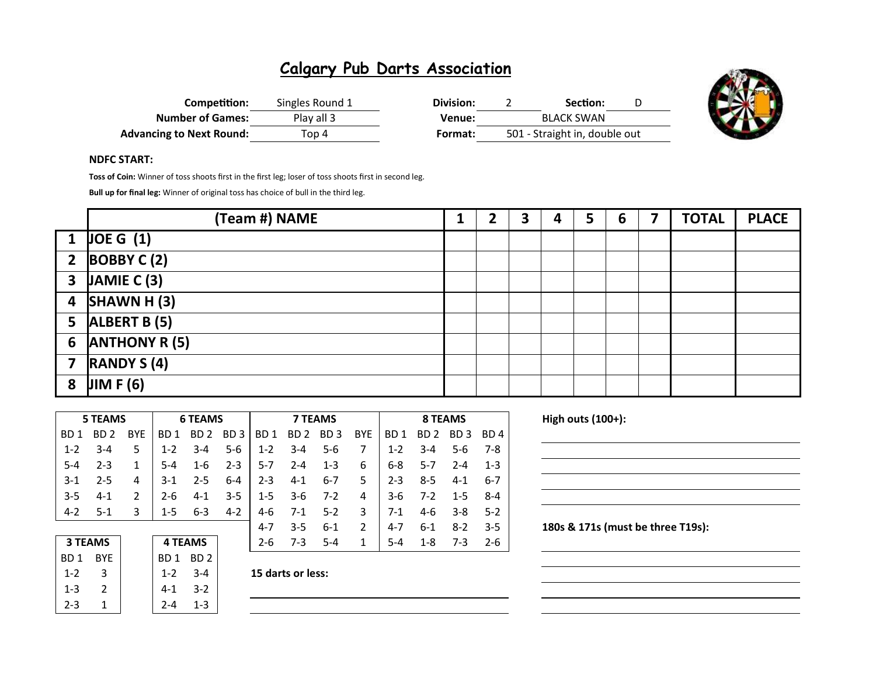| Competition:                    | Singles Round 1 | Division: | Section:                      |  |
|---------------------------------|-----------------|-----------|-------------------------------|--|
| <b>Number of Games:</b>         | Play all 3      | Venue:    | <b>BLACK SWAN</b>             |  |
| <b>Advancing to Next Round:</b> | Top 4           | Format:   | 501 - Straight in, double out |  |



#### NDFC START:

Toss of Coin: Winner of toss shoots first in the first leg; loser of toss shoots first in second leg.

Bull up for final leg: Winner of original toss has choice of bull in the third leg.

|                         | (Team #) NAME                   |  | 3 | 4 | 5. | 6 | <b>TOTAL</b> | <b>PLACE</b> |
|-------------------------|---------------------------------|--|---|---|----|---|--------------|--------------|
|                         | $1 \vert$ JOE G $(1)$           |  |   |   |    |   |              |              |
|                         | 2 $\overline{BOBBYC(2)}$        |  |   |   |    |   |              |              |
|                         | $3$ JAMIE C (3)                 |  |   |   |    |   |              |              |
|                         | 4 $SHAWN H (3)$                 |  |   |   |    |   |              |              |
|                         | 5 $ALBERT B (5)$                |  |   |   |    |   |              |              |
| 6                       | <b>ANTHONY R (5)</b>            |  |   |   |    |   |              |              |
| $\overline{\mathbf{z}}$ | $\overline{\text{RANDY S (4)}}$ |  |   |   |    |   |              |              |
| 8                       | JIMF(6)                         |  |   |   |    |   |              |              |

|                 | <b>5 TEAMS</b> |               | <b>6 TEAMS</b>  |                 |                 | <b>7 TEAMS</b>  |                 |                 |               | 8 TEAMS         |                 |                 |                 |
|-----------------|----------------|---------------|-----------------|-----------------|-----------------|-----------------|-----------------|-----------------|---------------|-----------------|-----------------|-----------------|-----------------|
| BD <sub>1</sub> | BD 2           | <b>BYF</b>    | BD <sub>1</sub> | BD <sub>2</sub> | BD <sub>3</sub> | BD <sub>1</sub> | BD <sub>2</sub> | BD <sub>3</sub> | <b>BYE</b>    | BD <sub>1</sub> | BD <sub>2</sub> | BD <sub>3</sub> | BD <sub>4</sub> |
| $1 - 2$         | $3 - 4$        | 5             | $1 - 2$         | $3 - 4$         | $5 - 6$         | $1 - 2$         | $3 - 4$         | $5-6$           |               | $1 - 2$         | $3 - 4$         | $5-6$           | 7-8             |
| $5 - 4$         | $2 - 3$        | 1             | $5-4$           | $1 - 6$         | $2 - 3$         | $5-7$           | $2 - 4$         | $1 - 3$         | 6             | $6 - 8$         | $5 - 7$         | $2 - 4$         | $1 - 3$         |
| $3-1$           | $2 - 5$        | 4             | $3-1$           | $2 - 5$         | $6 - 4$         | $2 - 3$         | $4 - 1$         | $6 - 7$         | 5.            | $2 - 3$         | $8 - 5$         | $4-1$           | 6-7             |
| $3 - 5$         | $4 - 1$        | $\mathcal{P}$ | $2 - 6$         | $4 - 1$         | $3 - 5$         | $1 - 5$         | $3-6$           | $7 - 2$         | 4             | $3-6$           | $7-2$           | $1 - 5$         | $8 - 4$         |
| $4 - 2$         | $5-1$          | 3             | $1 - 5$         | $6 - 3$         | $4 - 2$         | 4-6             | $7-1$           | $5-2$           | 3             | $7-1$           | $4-6$           | $3 - 8$         | $5-2$           |
|                 |                |               |                 |                 |                 | 4-7             | $3 - 5$         | $6-1$           | $\mathcal{P}$ | $4 - 7$         | $6 - 1$         | $8-2$           | $-3-5$          |
| <b>3 TEAMS</b>  |                |               | <b>4 TEAMS</b>  |                 | $2 - 6$         | $7-3$           | $5 - 4$         |                 | $5 - 4$       | $1 - 8$         | $7-3$           | $2-6$           |                 |

| <b>3 TEAMS</b> |     |  |  |  |  |  |  |
|----------------|-----|--|--|--|--|--|--|
| BD 1           | BYF |  |  |  |  |  |  |
| 1-2            | 3   |  |  |  |  |  |  |
| 1-3            | 2   |  |  |  |  |  |  |
| 2-3            | 1   |  |  |  |  |  |  |

 $1-2$  3-4 15 darts or less:

BD 1 BD 2

1-3 2 4-1 3-2  $2-4$  1-3 High outs  $(100+)$ :

180s & 171s (must be three T19s):